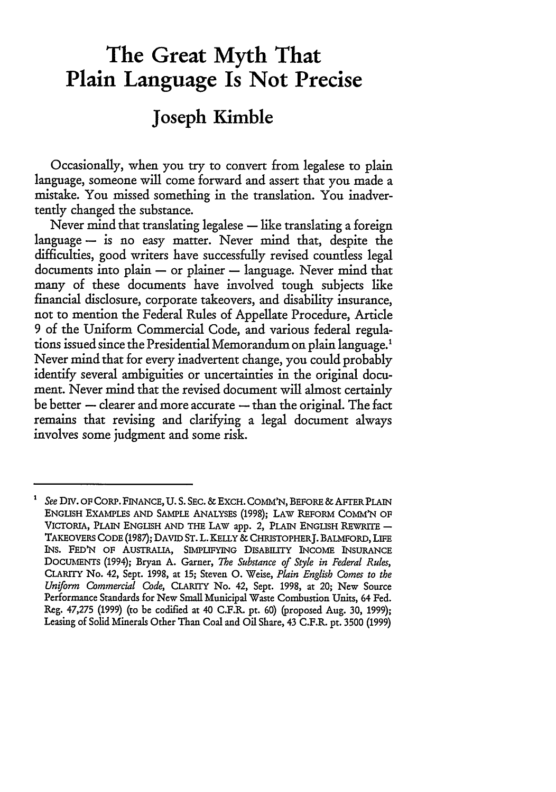# **The Great Myth That Plain Language Is Not Precise**

## **Joseph Kimble**

Occasionally, when you try to convert from legalese to plain language, someone will come forward and assert that you made a mistake. You missed something in the translation. You inadvertently changed the substance.

Never mind that translating legalese  $-$  like translating a foreign language  $-$  is no easy matter. Never mind that, despite the difficulties, good writers have successfully revised countless legal  $d$ ocuments into plain  $-$  or plainer  $-$  language. Never mind that many of these documents have involved tough subjects like financial disclosure, corporate takeovers, and disability insurance, not to mention the Federal Rules of Appellate Procedure, Article **9** of the Uniform Commercial Code, and various federal regulations issued since the Presidential Memorandum on plain language.' Never mind that for every inadvertent change, you could probably identify several ambiguities or uncertainties in the original document. Never mind that the revised document will almost certainly be better - clearer and more accurate - than the original. The fact remains that revising and clarifying a legal document always involves some judgment and some risk.

 $\mathbf{1}$ *See* DIv. OF CORP. FINANCE, **U. S.** SEC. & EXCH. COmM'N, BEFORE & AFrER PLAIN **ENGLISH EXAMPLES AND SAMPLE** ANALYSES (1998); LAW REFORM COMM'N OF VICTORIA, PLAIN ENGLISH AND THE LAW app. 2, PLAIN ENGLISH REWRITE -TAKEOVERS CODE (1987); DAVID **ST.** L. KELLY **&** CHRISTOPHERJ. **BALMFORD, LIFE** INS. FED'N OF AUSTRALIA, SIMPLIFYING **DISABIL1TY** INCOME INSURANCE DOCUMENTS (1994); Bryan **A.** Garner, *The Substance of Style in Federal Rules,* CLARITY No. 42, Sept. 1998, at **15;** Steven **0.** Weise, *Plain English Comes to the Uniform Commercial Code,* **CLARITY** No. 42, Sept. 1998, at 20; New Source Performance Standards for New Small Municipal Waste Combustion Units, 64 Fed. Reg. 47,275 (1999) (to be codified at 40 C.F.R. pt. 60) (proposed Aug. 30, 1999); Leasing of Solid Minerals Other Than Coal and Oil Share, 43 C.F.R. pt. 3500 (1999)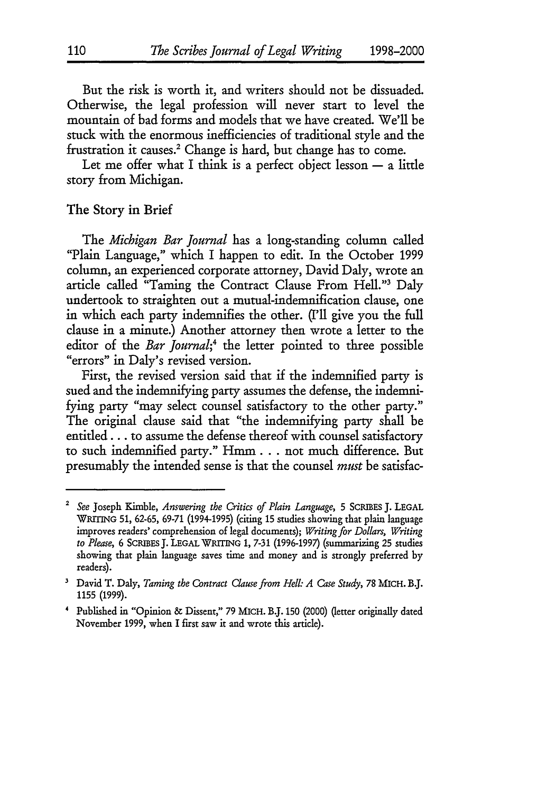But the risk is worth it, and writers should not be dissuaded. Otherwise, the legal profession will never start to level the mountain of bad forms and models that we have created. We'll be stuck with the enormous inefficiencies of traditional style and the frustration it causes.<sup>2</sup> Change is hard, but change has to come.

Let me offer what I think is a perfect object lesson - a little story from Michigan.

#### The Story in Brief

The *Michigan Bar Journal* has a long-standing column called "Plain Language," which I happen to edit. In the October **1999** column, an experienced corporate attorney, David Daly, wrote an article called "Taming the Contract Clause From Hell."3 Daly undertook to straighten out a mutual-indemnification clause, one in which each party indemnifies the other. (['11 give you the full clause in a minute.) Another attorney then wrote a letter to the editor of the *Bar Journal*;<sup>4</sup> the letter pointed to three possible "errors" in Daly's revised version.

First, the revised version said that if the indemnified party is sued and the indemnifying party assumes the defense, the indemnifying party "may select counsel satisfactory to the other party." The original clause said that "the indemnifying party shall be entitled.., to assume the defense thereof with counsel satisfactory to such indemnified party." Hmm **...** not much difference. But presumably the intended sense is that the counsel *must* be satisfac-

*<sup>2</sup> See* Joseph Kimble, *Answering the Critics of Plain Language,* 5 SCRIBES J. LEGAL WRITING **51,** 62-65, **69-71** (1994-1995) (citing 15 studies showing that plain language improves readers' comprehension of legal documents); *Writing for Dollars, Writing* to Please, 6 SCRIBES J. LEGAL WRITING 1, 7-31 (1996-1997) (summarizing 25 studies showing that plain language saves time and money and is strongly preferred by readers).

**<sup>&#</sup>x27;** David T. Daly, *Taming the Contract Clause from Hell: A Case Study,* 78 MICH. B.J. 1155 **(1999).**

<sup>&#</sup>x27; Published in "Opinion & Dissent," 79 MICH. B.J. 150 (2000) (letter originally dated November 1999, when I first saw it and wrote this article).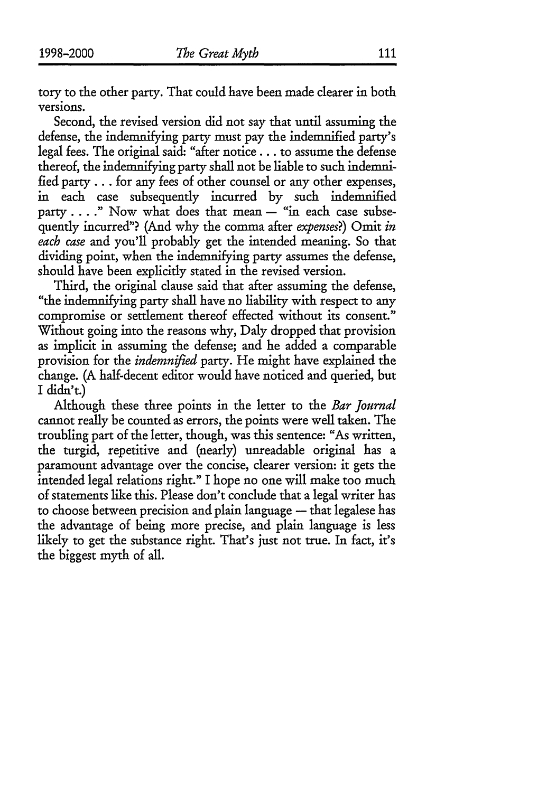tory to the other party. That could have been made clearer in both versions.

Second, the revised version did not say that until assuming the defense, the indemnifying party must pay the indemnified party's legal fees. The original said: "after notice... to assume the defense thereof, the indemnifying party shall not be liable to such indemnified **party...** for any fees of other counsel or any other expenses, in each case subsequently incurred by such indemnified party . . . . " Now what does that mean - "in each case subsequently incurred"? (And why the comma after *expenses?)* Omit *in each case* and you'll probably get the intended meaning. So that dividing point, when the indemnifying party assumes the defense, should have been explicitly stated in the revised version.

Third, the original clause said that after assuming the defense, "the indemnifying party shall have no liability with respect to any compromise or settlement thereof effected without its consent." Without going into the reasons why, Daly dropped that provision as implicit in assuming the defense; and he added a comparable provision for the *indemnified* party. He might have explained the change. (A half-decent editor would have noticed and queried, but I didn't.)

Although these three points in the letter to the *Bar Journal* cannot really be counted as errors, the points were well taken. The troubling part of the letter, though, was this sentence: "As written, the turgid, repetitive and (nearly) unreadable original has a paramount advantage over the concise, dearer version: it gets the intended legal relations right." I hope no one will make too much of statements like this. Please don't conclude that a legal writer has to choose between precision and plain language - that legalese has the advantage of being more precise, and plain language is less likely to get the substance right. That's just not true. In fact, it's the biggest myth of all.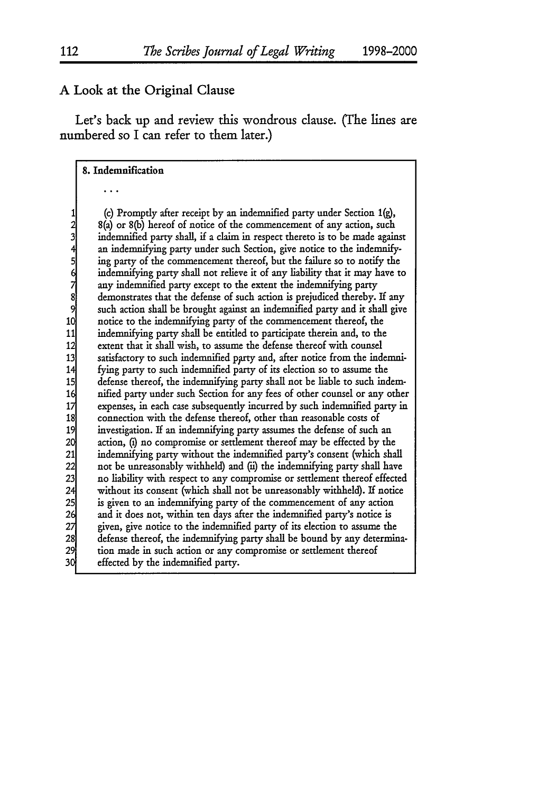#### **A** Look at the Original Clause

Let's back up and review this wondrous clause. **(The** lines are numbered so I can refer to them later.)

#### **8.** Indemnification

1 (c) Promptly after receipt by an indemnified party under Section 1(g),<br>
2 (a) or 8(b) hereof of notice of the commencement of any action, such<br>
indemnified party shall, if a claim in respect thereto is to be made again<br> 8(a) or 8(b) hereof of notice of the commencement of any action, such **3** indemnified party shall, if a claim in respect thereto is to be made against an indemnifying party under such Section, give notice to the indemnify-**5** ing party of the commencement thereof, but the failure so to notify the indemnifying party shall not relieve it of any liability that it may have to any indemnified party except to the extent the indemnifying party **8** demonstrates that the defense of such action is prejudiced thereby. If any **9** such action shall be brought against an indemnified party and it shall give 10 notice to the indemnifying party of the commencement thereof, the indemnifying party shall be entitled to participate therein and, to the 11 indemnifying party shall be entitled to participate therein and, to the<br>12 extent that it shall wish, to assume the defense thereof with counsel 12 extent that it shall wish, to assume the defense thereof with counsel<br>13 satisfactory to such indemnified party and, after notice from the inde 13 satisfactory to such indemnified party and, after notice from the indemni-<br>14 fying party to such indemnified party of its election so to assume the fying party to such indemnified party of its election so to assume the 15 defense thereof, the indemnifying party shall not be liable to such indemnified party under such Section for any fees of other counsel or any other 16 **16 nified party under such Section for any fees of other counsel or any other** expenses, in each case subsequently incurred by such indemnified party in 17 **expenses, in each case subsequently incurred by such indemnified party in** connection with the defense thereof, other than reasonable costs of 18<sup>c</sup> connection with the defense thereof, other than reasonable costs of<br>19<sup>c</sup> investigation. If an indemnifying party assumes the defense of such **19** investigation. If an indemnifying party assumes the defense of such an 20 action, (i) no compromise or settlement thereof may be effected by the indemnifying party without the indemnified party's consent (which sha 21 indemnifying party without the indemnified party's consent (which shall<br>22 not be unreasonably withheld) and (ii) the indemnifying party shall have 22 not be unreasonably withheld) and (u) the indemnifying party shall have<br>23 no liability with respect to any compromise or settlement thereof effected 23 no liability with respect to any compromise or settlement thereof effected<br>24 without its consent (which shall not be unreasonably withheld). If notice 24 without its consent (which shall not be unreasonably withheld). If notice<br>25 is given to an indemnifying party of the commencement of any action 25 is given to an indemnifying party of the commencement of any action<br>26 and it does not, within ten days after the indemnified party's notice is **26** and it does not, within ten days after the indemnified party's notice is 27 *given, give notice to the indemnified party of its election to assume the* 28 defense thereof, the indemnifying party shall be bound by any determin defense thereof, the indemnifying party shall be bound by any determina-29 tion made in such action or any compromise or settlement thereof **30** effected by the indemnified party.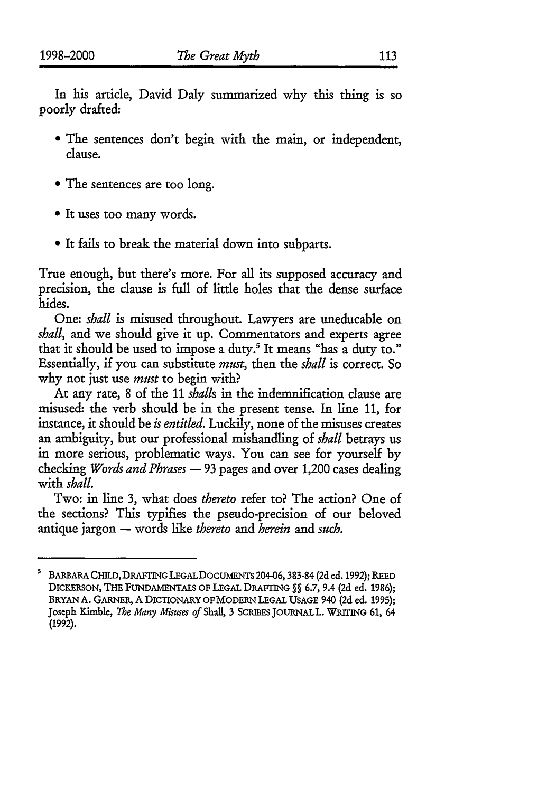In his article, David Daly summarized why this thing is so poorly drafted:

- **"** The sentences don't begin with the main, or independent, clause.
- **"** The sentences are too long.
- **"** It uses too many words.
- **"** It fails to break the material down into subparts.

True enough, but there's more. For all its supposed accuracy and precision, the clause is full of little holes that the dense surface hides.

One: *shall* is misused throughout. Lawyers are uneducable on *shall,* and we should give it up. Commentators and experts agree that it should be used to impose a duty.<sup>5</sup> It means "has a duty to." Essentially, if you can substitute *must,* then the *shall* is correct. So why not just use *must* to begin with?

At any rate, 8 of the 11 *shalls* in the indemnification clause are misused: the verb should be in the present tense. In line 11, for instance, it should be *is entitled.* Luckily, none of the misuses creates an ambiguity, but our professional mishandling of *shall* betrays us in more serious, problematic ways. You can see for yourself by checking *Words and Phrases* - 93 pages and over 1,200 cases dealing with *shall.*

Two: in line 3, what does *thereto* refer to? The action? One of the sections? This typifies the pseudo-precision of our beloved antique jargon – words like *thereto* and *herein* and *such*.

s BARBARA CHILD, DRAFrNGLEGALDOCUMENTS 204-06,383-84 (2d ed. 1992); REED DICKERSON, THE FUNDAMENTALS OF LEGAL DRAFING **%** 6.7, 9.4 (2d ed. 1986); BRYAN **A.** GARNER, A DICTIONARY OF MODERN LEGAL USAGE 940 (2d ed. 1995); Joseph Kimble, *The Many Misuses of* Shall, 3 SCRIBES JOURNALL. WRITING 61, 64 (1992).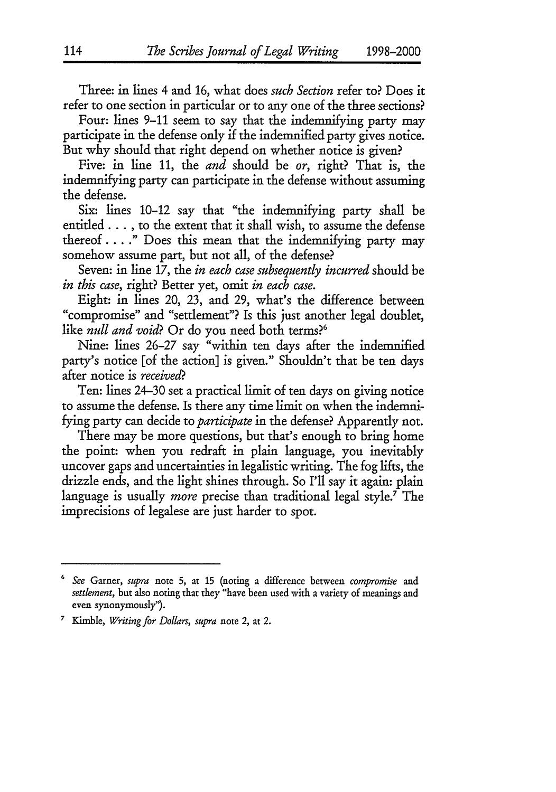Three: in lines 4 and 16, what does *such Section* refer to? Does it refer to one section in particular or to any one of the three sections?

Four: lines 9-11 seem to say that the indemnifying party may participate in the defense only if the indemnified party gives notice. But why should that right depend on whether notice is given?

Five: in line 11, the *and* should be *or,* right? That is, the indemnifying party can participate in the defense without assuming the defense.

Six: lines 10-12 say that "the indemnifying party shall be entitled... *,* to the extent that it shall wish, to assume the defense thereof...." Does this mean that the indemnifying party may somehow assume part, but not all, of the defense?

Seven: in line 17, the *in each case subsequently incurred* should be *in this case,* right? Better yet, omit *in each case.*

Eight: in lines 20, 23, and 29, what's the difference between "compromise" and "settlement"? Is this just another legal doublet, like *null and void*? Or do you need both terms?<sup>6</sup>

Nine: lines 26-27 say "within ten days after the indemnified party's notice [of the action] is given." Shouldn't that be ten days after notice is *received?*

Ten: lines 24-30 set a practical limit of ten days on giving notice to assume the defense. Is there any time limit on when the indemnifying party can decide to *participate* in the defense? Apparently not.

There may be more questions, but that's enough to bring home the point: when you redraft in plain language, you inevitably uncover gaps and uncertainties in legalistic writing. The fog lifts, the drizzle ends, and the light shines through. So I'll say it again: plain language is usually *more* precise than traditional legal style.7 The imprecisions of legalese are just harder to spot.

**<sup>6</sup>***See* Garner, *supra* note 5, at 15 (noting a difference between *compromise and settlement,* but also noting that they "have been used with a variety of meanings and even synonymously").

<sup>&</sup>lt;sup>7</sup> Kimble, *Writing for Dollars*, *supra* note 2, at 2.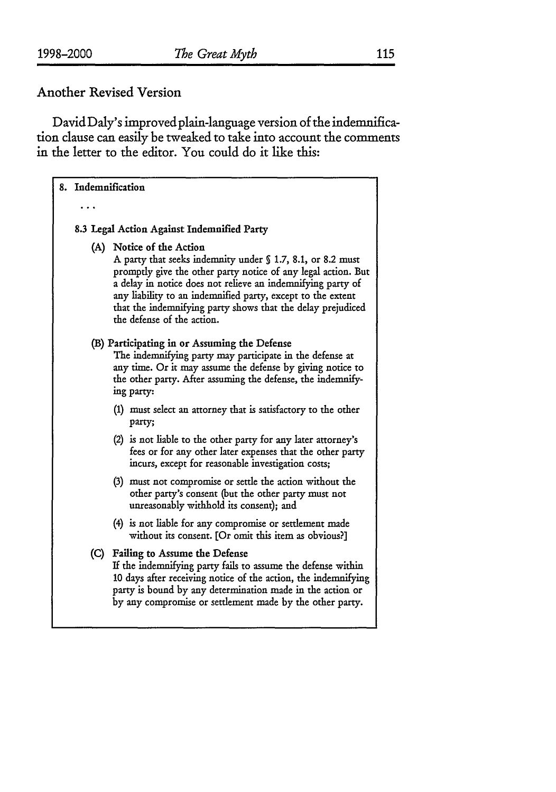ı

### Another Revised Version

David Daly's improvedplain-language version of the indemnification clause can easily be tweaked to take into account the comments in the letter to the editor. You could do it like this:

| 8. Indemnification                                                                                                                                                                                                                                                                                                                                                                 |
|------------------------------------------------------------------------------------------------------------------------------------------------------------------------------------------------------------------------------------------------------------------------------------------------------------------------------------------------------------------------------------|
|                                                                                                                                                                                                                                                                                                                                                                                    |
| 8.3 Legal Action Against Indemnified Party                                                                                                                                                                                                                                                                                                                                         |
| (A) Notice of the Action<br>A party that seeks indemnity under § 1.7, 8.1, or 8.2 must<br>promptly give the other party notice of any legal action. But<br>a delay in notice does not relieve an indemnifying party of<br>any liability to an indemnified party, except to the extent<br>that the indemnifying party shows that the delay prejudiced<br>the defense of the action. |
| (B) Participating in or Assuming the Defense<br>The indemnifying party may participate in the defense at<br>any time. Or it may assume the defense by giving notice to<br>the other party. After assuming the defense, the indemnify-<br>ing party:                                                                                                                                |
| (1) must select an attorney that is satisfactory to the other<br>party;                                                                                                                                                                                                                                                                                                            |
| (2) is not liable to the other party for any later attorney's<br>fees or for any other later expenses that the other party<br>incurs, except for reasonable investigation costs;                                                                                                                                                                                                   |
| (3) must not compromise or settle the action without the<br>other party's consent (but the other party must not<br>unreasonably withhold its consent); and                                                                                                                                                                                                                         |
| (4) is not liable for any compromise or settlement made<br>without its consent. [Or omit this item as obvious?]                                                                                                                                                                                                                                                                    |
| (C) Failing to Assume the Defense<br>If the indemnifying party fails to assume the defense within<br>10 days after receiving notice of the action, the indemnifying<br>party is bound by any determination made in the action or<br>by any compromise or settlement made by the other party.                                                                                       |
|                                                                                                                                                                                                                                                                                                                                                                                    |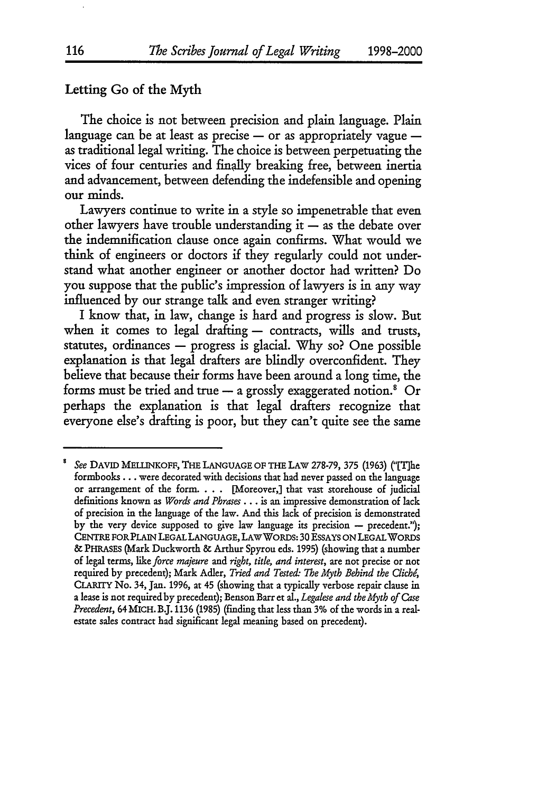#### Letting Go of the Myth

The choice is not between precision and plain language. Plain language can be at least as precise  $-$  or as appropriately vague  $$ as traditional legal writing. The choice is between perpetuating the vices of four centuries and finally breaking free, between inertia and advancement, between defending the indefensible and opening our minds.

Lawyers continue to write in a style so impenetrable that even other lawyers have trouble understanding it  $-$  as the debate over the indemnification clause once again confirms. What would we think of engineers or doctors if they regularly could not understand what another engineer or another doctor had written? Do you suppose that the public's impression of lawyers is in any way influenced **by** our strange talk and even stranger writing?

I know that, in law, change is hard and progress is slow. But when it comes to legal drafting  $-$  contracts, wills and trusts, statutes, ordinances - progress is glacial. **Why** so? One possible explanation is that legal drafters are blindly overconfident. They believe that because their forms have been around a long time, the forms must be tried and true  $-$  a grossly exaggerated notion.<sup>8</sup> Or perhaps the explanation is that legal drafters recognize that everyone else's drafting is poor, but they can't quite see the same

*See* **DAVID MELLINKOFF, THE LANGUAGE OF** THE LAW 278-79, 375 (1963) ("[T1he formbooks... were decorated with decisions that had never passed on the language or arrangement of the form. **. . .** [Moreover,] that vast storehouse of judicial definitions known as *Words and Phrases...* is an impressive demonstration of lack of precision in the language of the law. And this lack of precision is demonstrated by the very device supposed to give law language its precision  $-$  precedent."); CENTRE FORPLAIN LEGAL LANGUAGE, LAWWORDS: 30 ESSAYS **ON** LEGALWORDS & PHRASES (Mark Duckworth & Arthur Spyrou eds. 1995) (showing that a number of legal terms, *like force majeure and right, title, and interest,* are not precise or not required by precedent); Mark Adler, *Tried and Testec The Myth Behind the Clich,* CLARITY No. 34, Jan. **1996,** at 45 (showing that a typically verbose repair clause in a lease is not required by precedent); Benson Barr et al., *Legalese and the Myth of Gzse Precedent,* 64MICH. **BJ.** 1136 (1985) (finding that less than 3% of the words in a realestate sales contract had significant legal meaning based on precedent).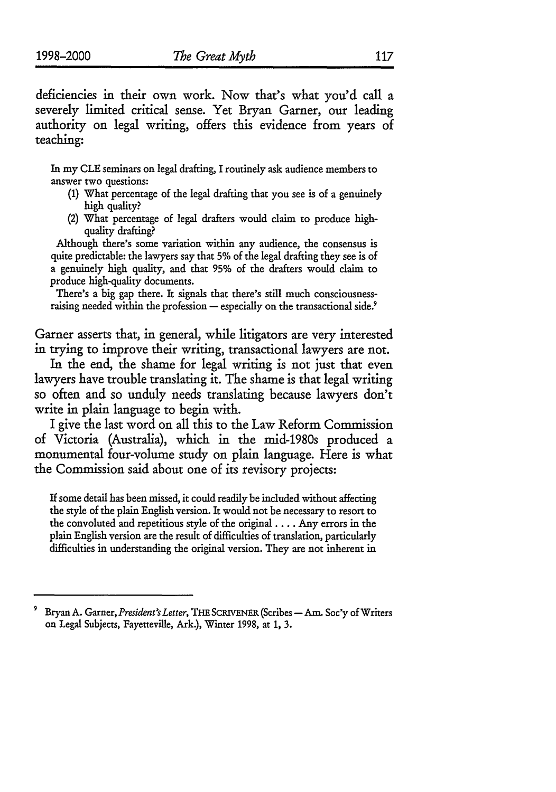deficiencies in their own work. Now that's what you'd call a severely limited critical sense. Yet Bryan Garner, our leading authority on legal writing, offers this evidence from years of teaching:

In my CLE seminars on legal drafting, I routinely ask audience members to answer two questions:

- (1) What percentage of the legal drafting that you see is of a genuinely high quality?
- (2) What percentage of legal drafters would claim to produce highquality drafting?

Although there's some variation within any audience, the consensus is quite predictable: the lawyers say that 5% of the legal drafting they see is of a genuinely high quality, and that **95%** of the drafters would claim to produce high-quality documents.

There's a big gap there. It signals that there's still much consciousnessraising needed within the profession  $-$  especially on the transactional side.<sup>9</sup>

Garner asserts that, in general, while litigators are very interested in trying to improve their writing, transactional lawyers are not.

In the end, the shame for legal writing is not just that even lawyers have trouble translating it. The shame is that legal writing so often and so unduly needs translating because lawyers don't write in plain language to begin with.

I give the last word on all this to the Law Reform Commission of Victoria (Australia), which in the mid-1980s produced a monumental four-volume study on plain language. Here is what the Commission said about one of its revisory projects:

If some detail has been missed, it could readily be included without affecting the style of the plain English version. It would not be necessary to resort to the convoluted and repetitious style of the original .... Any errors in the plain English version are the result of difficulties of translation, particularly difficulties in understanding the original version. They are not inherent in

Bryan A. Garner, *President's Letter*, THE SCRIVENER (Scribes - Am. Soc'y of Writers on Legal Subjects, Fayetteville, Ark.), Winter **1998,** at **1,** 3.